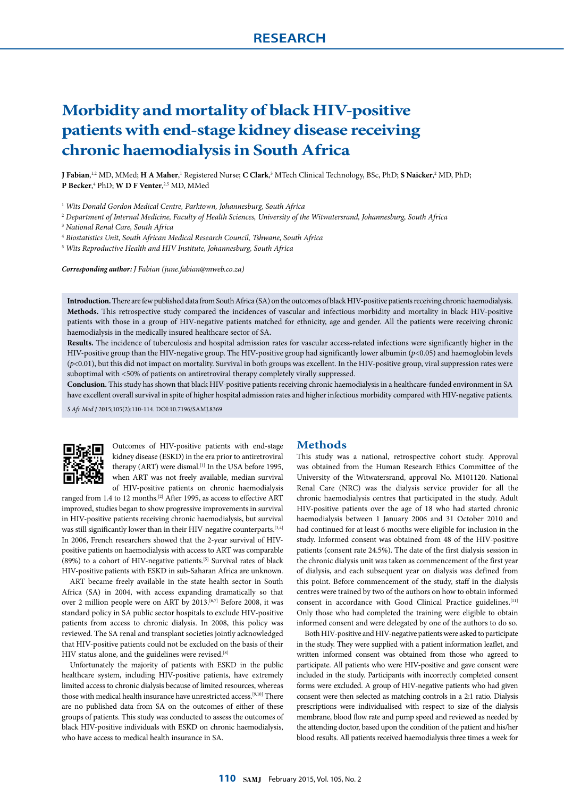# **Morbidity and mortality of black HIV-positive patients with end-stage kidney disease receiving chronic haemodialysis in South Africa**

**J** Fabian,<sup>1,2</sup> MD, MMed; **H A Maher**,<sup>1</sup> Registered Nurse; **C Clark**,<sup>3</sup> MTech Clinical Technology, BSc, PhD; **S Naicker**,<sup>2</sup> MD, PhD; **P Becker**, 4 PhD; **W D F Venter**, 2,5 MD, MMed

<sup>1</sup> *Wits Donald Gordon Medical Centre, Parktown, Johannesburg, South Africa*

<sup>2</sup> *Department of Internal Medicine, Faculty of Health Sciences, University of the Witwatersrand, Johannesburg, South Africa*

<sup>3</sup> *National Renal Care, South Africa*

<sup>4</sup> *Biostatistics Unit, South African Medical Research Council, Tshwane, South Africa*

<sup>5</sup> *Wits Reproductive Health and HIV Institute, Johannesburg, South Africa*

*Corresponding author: J Fabian (june.fabian@mweb.co.za)*

**Introduction.** There are few published data from South Africa (SA) on the outcomes of black HIV-positive patients receiving chronic haemodialysis. **Methods.** This retrospective study compared the incidences of vascular and infectious morbidity and mortality in black HIV-positive patients with those in a group of HIV-negative patients matched for ethnicity, age and gender. All the patients were receiving chronic haemodialysis in the medically insured healthcare sector of SA.

**Results.** The incidence of tuberculosis and hospital admission rates for vascular access-related infections were significantly higher in the HIV-positive group than the HIV-negative group. The HIV-positive group had significantly lower albumin  $(p<0.05)$  and haemoglobin levels (*p*<0.01), but this did not impact on mortality. Survival in both groups was excellent. In the HIV-positive group, viral suppression rates were suboptimal with <50% of patients on antiretroviral therapy completely virally suppressed.

**Conclusion.** This study has shown that black HIV-positive patients receiving chronic haemodialysis in a healthcare-funded environment in SA have excellent overall survival in spite of higher hospital admission rates and higher infectious morbidity compared with HIV-negative patients.

*S Afr Med J* 2015;105(2):110-114. DOI:10.7196/SAMJ.8369



Outcomes of HIV-positive patients with end-stage kidney disease (ESKD) in the era prior to antiretroviral therapy (ART) were dismal.<sup>[1]</sup> In the USA before 1995, when ART was not freely available, median survival of HIV-positive patients on chronic haemodialysis

ranged from 1.4 to 12 months.<sup>[2]</sup> After 1995, as access to effective ART improved, studies began to show progressive improvements in survival in HIV-positive patients receiving chronic haemodialysis, but survival was still significantly lower than in their HIV-negative counterparts.<sup>[3,4]</sup> In 2006, French researchers showed that the 2-year survival of HIVpositive patients on haemodialysis with access to ART was comparable (89%) to a cohort of HIV-negative patients.[5] Survival rates of black HIV-positive patients with ESKD in sub-Saharan Africa are unknown.

ART became freely available in the state health sector in South Africa (SA) in 2004, with access expanding dramatically so that over 2 million people were on ART by 2013.<sup>[6,7]</sup> Before 2008, it was standard policy in SA public sector hospitals to exclude HIV-positive patients from access to chronic dialysis. In 2008, this policy was reviewed. The SA renal and transplant societies jointly acknowledged that HIV-positive patients could not be excluded on the basis of their HIV status alone, and the guidelines were revised.<sup>[8]</sup>

Unfortunately the majority of patients with ESKD in the public healthcare system, including HIV-positive patients, have extremely limited access to chronic dialysis because of limited resources, whereas those with medical health insurance have unrestricted access.[9,10] There are no published data from SA on the outcomes of either of these groups of patients. This study was conducted to assess the outcomes of black HIV-positive individuals with ESKD on chronic haemodialysis, who have access to medical health insurance in SA.

## **Methods**

This study was a national, retrospective cohort study. Approval was obtained from the Human Research Ethics Committee of the University of the Witwatersrand, approval No. M101120. National Renal Care (NRC) was the dialysis service provider for all the chronic haemodialysis centres that participated in the study. Adult HIV-positive patients over the age of 18 who had started chronic haemodialysis between 1 January 2006 and 31 October 2010 and had continued for at least 6 months were eligible for inclusion in the study. Informed consent was obtained from 48 of the HIV-positive patients (consent rate 24.5%). The date of the first dialysis session in the chronic dialysis unit was taken as commencement of the first year of dialysis, and each subsequent year on dialysis was defined from this point. Before commencement of the study, staff in the dialysis centres were trained by two of the authors on how to obtain informed consent in accordance with Good Clinical Practice guidelines.[11] Only those who had completed the training were eligible to obtain informed consent and were delegated by one of the authors to do so.

Both HIV-positive and HIV-negative patients were asked to participate in the study. They were supplied with a patient information leaflet, and written informed consent was obtained from those who agreed to participate. All patients who were HIV-positive and gave consent were included in the study. Participants with incorrectly completed consent forms were excluded. A group of HIV-negative patients who had given consent were then selected as matching controls in a 2:1 ratio. Dialysis prescriptions were individualised with respect to size of the dialysis membrane, blood flow rate and pump speed and reviewed as needed by the attending doctor, based upon the condition of the patient and his/her blood results. All patients received haemodialysis three times a week for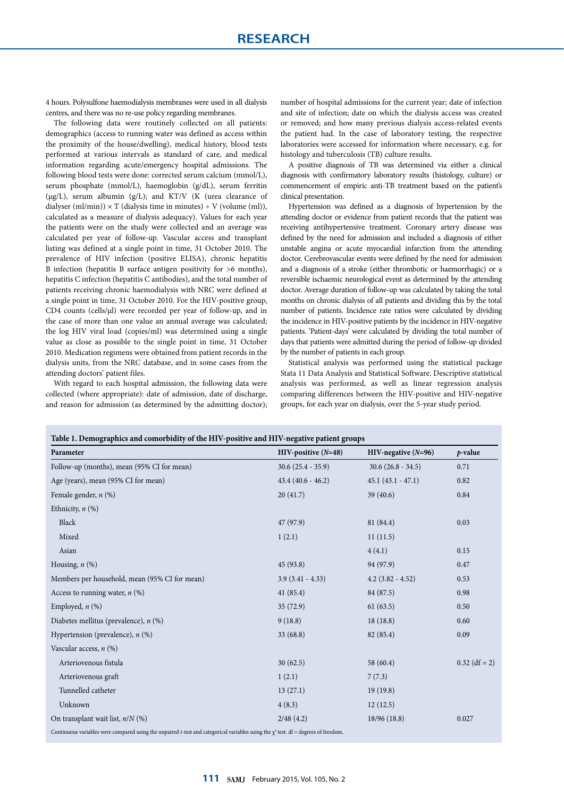4 hours. Polysulfone haemodialysis membranes were used in all dialysis centres, and there was no re-use policy regarding membranes.

The following data were routinely collected on all patients: demographics (access to running water was defined as access within the proximity of the house/dwelling), medical history, blood tests performed at various intervals as standard of care, and medical information regarding acute/emergency hospital admissions. The following blood tests were done: corrected serum calcium (mmol/L), serum phosphate (mmol/L), haemoglobin (g/dL), serum ferritin ( $\mu$ g/L), serum albumin (g/L); and KT/V (K (urea clearance of dialyser (ml/min))  $\times$  T (dialysis time in minutes) ÷ V (volume (ml)), calculated as a measure of dialysis adequacy). Values for each year the patients were on the study were collected and an average was calculated per year of follow-up. Vascular access and transplant listing was defined at a single point in time, 31 October 2010. The prevalence of HIV infection (positive ELISA), chronic hepatitis B infection (hepatitis B surface antigen positivity for >6 months), hepatitis C infection (hepatitis C antibodies), and the total number of patients receiving chronic haemodialysis with NRC were defined at a single point in time, 31 October 2010. For the HIV-positive group, CD4 counts (cells/µl) were recorded per year of follow-up, and in the case of more than one value an annual average was calculated; the log HIV viral load (copies/ml) was determined using a single value as close as possible to the single point in time, 31 October 2010. Medication regimens were obtained from patient records in the dialysis units, from the NRC database, and in some cases from the attending doctors' patient files.

With regard to each hospital admission, the following data were collected (where appropriate): date of admission, date of discharge, and reason for admission (as determined by the admitting doctor); number of hospital admissions for the current year; date of infection and site of infection; date on which the dialysis access was created or removed; and how many previous dialysis access-related events the patient had. In the case of laboratory testing, the respective laboratories were accessed for information where necessary, e.g. for histology and tuberculosis (TB) culture results.

A positive diagnosis of TB was determined via either a clinical diagnosis with confirmatory laboratory results (histology, culture) or commencement of empiric anti-TB treatment based on the patient's clinical presentation.

Hypertension was defined as a diagnosis of hypertension by the attending doctor or evidence from patient records that the patient was receiving antihypertensive treatment. Coronary artery disease was defined by the need for admission and included a diagnosis of either unstable angina or acute myocardial infarction from the attending doctor. Cerebrovascular events were defined by the need for admission and a diagnosis of a stroke (either thrombotic or haemorrhagic) or a reversible ischaemic neurological event as determined by the attending doctor. Average duration of follow-up was calculated by taking the total months on chronic dialysis of all patients and dividing this by the total number of patients. Incidence rate ratios were calculated by dividing the incidence in HIV-positive patients by the incidence in HIV-negative patients. 'Patient-days' were calculated by dividing the total number of days that patients were admitted during the period of follow-up divided by the number of patients in each group.

Statistical analysis was performed using the statistical package Stata 11 Data Analysis and Statistical Software. Descriptive statistical analysis was performed, as well as linear regression analysis comparing differences between the HIV-positive and HIV-negative groups, for each year on dialysis, over the 5-year study period.

| Table 1. Demographics and comorbidity of the HIV-positive and HIV-negative patient groups                                                |                          |                          |                 |  |
|------------------------------------------------------------------------------------------------------------------------------------------|--------------------------|--------------------------|-----------------|--|
| Parameter                                                                                                                                | $HIV$ -positive $(N=48)$ | $HIV$ -negative $(N=96)$ | p-value         |  |
| Follow-up (months), mean (95% CI for mean)                                                                                               | $30.6(25.4 - 35.9)$      | $30.6(26.8 - 34.5)$      | 0.71            |  |
| Age (years), mean (95% CI for mean)                                                                                                      | $43.4(40.6 - 46.2)$      | $45.1 (43.1 - 47.1)$     | 0.82            |  |
| Female gender, $n$ (%)                                                                                                                   | 20(41.7)                 | 39 (40.6)                | 0.84            |  |
| Ethnicity, $n$ (%)                                                                                                                       |                          |                          |                 |  |
| Black                                                                                                                                    | 47 (97.9)                | 81 (84.4)                | 0.03            |  |
| Mixed                                                                                                                                    | 1(2.1)                   | 11(11.5)                 |                 |  |
| Asian                                                                                                                                    |                          | 4(4.1)                   | 0.15            |  |
| Housing, $n$ $(\%)$                                                                                                                      | 45(93.8)                 | 94 (97.9)                | 0.47            |  |
| Members per household, mean (95% CI for mean)                                                                                            | $3.9(3.41 - 4.33)$       | $4.2$ (3.82 - 4.52)      | 0.53            |  |
| Access to running water, $n$ (%)                                                                                                         | 41(85.4)                 | 84 (87.5)                | 0.98            |  |
| Employed, $n$ $(\%)$                                                                                                                     | 35(72.9)                 | 61(63.5)                 | 0.50            |  |
| Diabetes mellitus (prevalence), $n$ (%)                                                                                                  | 9(18.8)                  | 18(18.8)                 | 0.60            |  |
| Hypertension (prevalence), $n$ (%)                                                                                                       | 33 (68.8)                | 82 (85.4)                | 0.09            |  |
| Vascular access, $n$ (%)                                                                                                                 |                          |                          |                 |  |
| Arteriovenous fistula                                                                                                                    | 30(62.5)                 | 58 (60.4)                | $0.32$ (df = 2) |  |
| Arteriovenous graft                                                                                                                      | 1(2.1)                   | 7(7.3)                   |                 |  |
| Tunnelled catheter                                                                                                                       | 13(27.1)                 | 19(19.8)                 |                 |  |
| Unknown                                                                                                                                  | 4(8.3)                   | 12(12.5)                 |                 |  |
| On transplant wait list, $n/N$ (%)                                                                                                       | 2/48(4.2)                | 18/96 (18.8)             | 0.027           |  |
| Continuous variables were compared using the unpaired t-test and categorical variables using the $\chi^2$ test. df = degrees of freedom. |                          |                          |                 |  |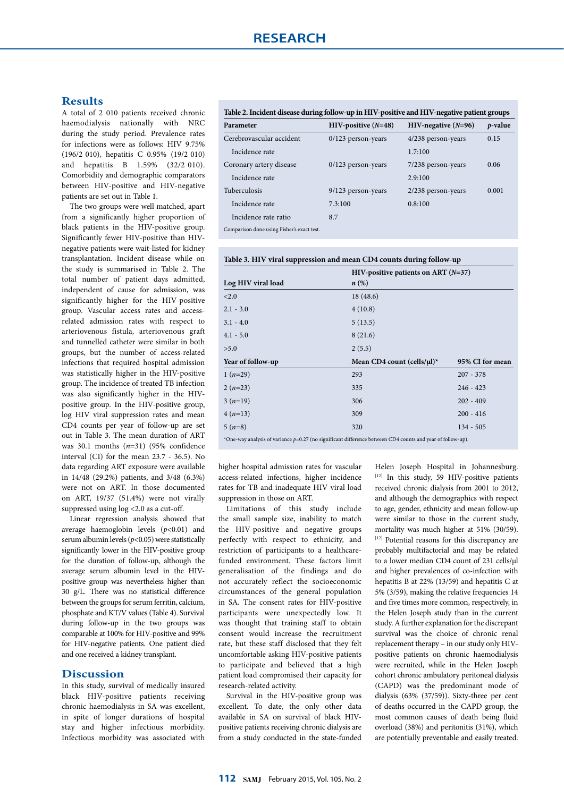# **Results**

A total of 2 010 patients received chronic haemodialysis nationally with NRC during the study period. Prevalence rates for infections were as follows: HIV 9.75% (196/2 010), hepatitis C 0.95% (19/2 010) and hepatitis B 1.59% (32/2 010). Comorbidity and demographic comparators between HIV-positive and HIV-negative patients are set out in Table 1.

The two groups were well matched, apart from a significantly higher proportion of black patients in the HIV-positive group. Significantly fewer HIV-positive than HIVnegative patients were wait-listed for kidney transplantation. Incident disease while on the study is summarised in Table 2. The total number of patient days admitted, independent of cause for admission, was significantly higher for the HIV-positive group. Vascular access rates and accessrelated admission rates with respect to arteriovenous fistula, arteriovenous graft and tunnelled catheter were similar in both groups, but the number of access-related infections that required hospital admission was statistically higher in the HIV-positive group. The incidence of treated TB infection was also significantly higher in the HIVpositive group. In the HIV-positive group, log HIV viral suppression rates and mean CD4 counts per year of follow-up are set out in Table 3. The mean duration of ART was 30.1 months (*n*=31) (95% confidence interval (CI) for the mean 23.7 - 36.5). No data regarding ART exposure were available in 14/48 (29.2%) patients, and 3/48 (6.3%) were not on ART. In those documented on ART, 19/37 (51.4%) were not virally suppressed using log <2.0 as a cut-off.

Linear regression analysis showed that average haemoglobin levels (*p*<0.01) and serum albumin levels (*p*<0.05) were statistically significantly lower in the HIV-positive group for the duration of follow-up, although the average serum albumin level in the HIVpositive group was nevertheless higher than 30 g/L. There was no statistical difference between the groups for serum ferritin, calcium, phosphate and KT/V values (Table 4). Survival during follow-up in the two groups was comparable at 100% for HIV-positive and 99% for HIV-negative patients. One patient died and one received a kidney transplant.

## **Discussion**

In this study, survival of medically insured black HIV-positive patients receiving chronic haemodialysis in SA was excellent, in spite of longer durations of hospital stay and higher infectious morbidity. Infectious morbidity was associated with

# **Table 2. Incident disease during follow-up in HIV-positive and HIV-negative patient groups**

| Parameter                                  | $HIV$ -positive $(N=48)$ | $HIV-negative (N=96)$ | p-value |
|--------------------------------------------|--------------------------|-----------------------|---------|
| Cerebrovascular accident                   | $0/123$ person-years     | 4/238 person-years    | 0.15    |
| Incidence rate                             |                          | 1.7:100               |         |
| Coronary artery disease                    | $0/123$ person-years     | 7/238 person-years    | 0.06    |
| Incidence rate                             |                          | 2.9:100               |         |
| <b>Tuberculosis</b>                        | 9/123 person-years       | 2/238 person-years    | 0.001   |
| Incidence rate                             | 7.3:100                  | 0.8:100               |         |
| Incidence rate ratio                       | 8.7                      |                       |         |
| Comparison done using Fisher's exact test. |                          |                       |         |

### **Table 3. HIV viral suppression and mean CD4 counts during follow-up**

|                    |                                            | HIV-positive patients on ART $(N=37)$ |  |  |
|--------------------|--------------------------------------------|---------------------------------------|--|--|
| Log HIV viral load | $n\left(\%\right)$                         |                                       |  |  |
| < 2.0              | 18(48.6)                                   |                                       |  |  |
| $2.1 - 3.0$        | 4(10.8)                                    |                                       |  |  |
| $3.1 - 4.0$        | 5(13.5)                                    |                                       |  |  |
| $4.1 - 5.0$        | 8(21.6)                                    |                                       |  |  |
| >5.0               | 2(5.5)                                     |                                       |  |  |
| Year of follow-up  | Mean CD4 count (cells/ $\mu$ l)*           | 95% CI for mean                       |  |  |
| $1(n=29)$          | 293                                        | $207 - 378$                           |  |  |
| $2(n=23)$          | 335                                        | $246 - 423$                           |  |  |
| $3(n=19)$          | 306                                        | $202 - 409$                           |  |  |
| $4(n=13)$          | 309                                        | $200 - 416$                           |  |  |
| $5(n=8)$           | 320                                        | $134 - 505$                           |  |  |
|                    | <b>Contract Contract Contract Contract</b> |                                       |  |  |

\*One-way analysis of variance *p*=0.27 (no significant difference between CD4 counts and year of follow-up).

higher hospital admission rates for vascular access-related infections, higher incidence rates for TB and inadequate HIV viral load suppression in those on ART.

Limitations of this study include the small sample size, inability to match the HIV-positive and negative groups perfectly with respect to ethnicity, and restriction of participants to a healthcarefunded environment. These factors limit generalisation of the findings and do not accurately reflect the socioeconomic circumstances of the general population in SA. The consent rates for HIV-positive participants were unexpectedly low. It was thought that training staff to obtain consent would increase the recruitment rate, but these staff disclosed that they felt uncomfortable asking HIV-positive patients to participate and believed that a high patient load compromised their capacity for research-related activity.

Survival in the HIV-positive group was excellent. To date, the only other data available in SA on survival of black HIVpositive patients receiving chronic dialysis are from a study conducted in the state-funded

Helen Joseph Hospital in Johannesburg. [12] In this study, 59 HIV-positive patients received chronic dialysis from 2001 to 2012, and although the demographics with respect to age, gender, ethnicity and mean follow-up were similar to those in the current study, mortality was much higher at 51% (30/59). [12] Potential reasons for this discrepancy are probably multifactorial and may be related to a lower median CD4 count of 231 cells/µl and higher prevalences of co-infection with hepatitis B at 22% (13/59) and hepatitis C at 5% (3/59), making the relative frequencies 14 and five times more common, respectively, in the Helen Joseph study than in the current study. A further explanation for the discrepant survival was the choice of chronic renal replacement therapy – in our study only HIVpositive patients on chronic haemodialysis were recruited, while in the Helen Joseph cohort chronic ambulatory peritoneal dialysis (CAPD) was the predominant mode of dialysis (63% (37/59)). Sixty-three per cent of deaths occurred in the CAPD group, the most common causes of death being fluid overload (38%) and peritonitis (31%), which are potentially preventable and easily treated.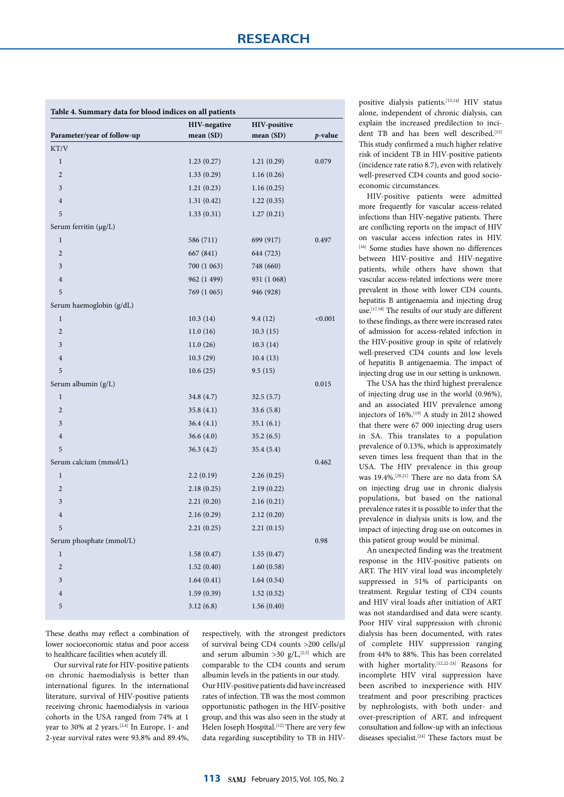| Parameter/year of follow-up | <b>HIV-negative</b> | <b>HIV-positive</b> |                 |
|-----------------------------|---------------------|---------------------|-----------------|
|                             | mean (SD)           | mean (SD)           | <i>p</i> -value |
| KT/V                        |                     |                     |                 |
| $\mathbf{1}$                | 1.23(0.27)          | 1.21(0.29)          | 0.079           |
| 2                           | 1.33(0.29)          | 1.16(0.26)          |                 |
| 3                           | 1.21(0.23)          | 1.16(0.25)          |                 |
| $\overline{4}$              | 1.31(0.42)          | 1.22(0.35)          |                 |
| 5                           | 1.33(0.31)          | 1.27(0.21)          |                 |
| Serum ferritin (µg/L)       |                     |                     |                 |
| $\mathbf{1}$                | 586 (711)           | 699 (917)           | 0.497           |
| $\overline{c}$              | 667 (841)           | 644 (723)           |                 |
| 3                           | 700 (1 063)         | 748 (660)           |                 |
| $\overline{4}$              | 962 (1 499)         | 931 (1 068)         |                 |
| 5                           | 769 (1 065)         | 946 (928)           |                 |
| Serum haemoglobin (g/dL)    |                     |                     |                 |
| $\mathbf 1$                 | 10.3(14)            | 9.4(12)             | < 0.001         |
| 2                           | 11.0(16)            | 10.3(15)            |                 |
| 3                           | 11.0(26)            | 10.3(14)            |                 |
| $\overline{4}$              | 10.3(29)            | 10.4(13)            |                 |
| 5                           | 10.6(25)            | 9.5(15)             |                 |
| Serum albumin (g/L)         |                     |                     | 0.015           |
| $\mathbf{1}$                | 34.8 (4.7)          | 32.5(5.7)           |                 |
| $\overline{c}$              | 35.8(4.1)           | 33.6(5.8)           |                 |
| 3                           | 36.4(4.1)           | 35.1(6.1)           |                 |
| $\overline{4}$              | 36.6(4.0)           | 35.2 (6.5)          |                 |
| 5                           | 36.3(4.2)           | 35.4(5.4)           |                 |
| Serum calcium (mmol/L)      |                     |                     | 0.462           |
| 1                           | 2.2(0.19)           | 2.26(0.25)          |                 |
| $\overline{c}$              | 2.18(0.25)          | 2.19(0.22)          |                 |
| 3                           | 2.21(0.20)          | 2.16(0.21)          |                 |
| $\overline{4}$              | 2.16 (0.29)         | 2.12(0.20)          |                 |
| 5                           | 2.21(0.25)          | 2.21(0.15)          |                 |
| Serum phosphate (mmol/L)    |                     |                     | 0.98            |
| $\mathbf{1}$                | 1.58(0.47)          | 1.55(0.47)          |                 |
| $\overline{c}$              | 1.52(0.40)          | 1.60(0.58)          |                 |
| 3                           | 1.64(0.41)          | 1.64(0.54)          |                 |
| $\,4$                       | 1.59(0.39)          | 1.52(0.52)          |                 |
| 5                           | 3.12(6.8)           | 1.56(0.40)          |                 |

These deaths may reflect a combination of lower socioeconomic status and poor access to healthcare facilities when acutely ill.

Our survival rate for HIV-positive patients on chronic haemodialysis is better than international figures. In the international literature, survival of HIV-positive patients receiving chronic haemodialysis in various cohorts in the USA ranged from 74% at 1 year to 30% at 2 years.[2,4] In Europe, 1- and 2-year survival rates were 93.8% and 89.4%, respectively, with the strongest predictors of survival being CD4 counts >200 cells/µl and serum albumin >30 g/L, $^{[2,5]}$  which are comparable to the CD4 counts and serum albumin levels in the patients in our study. Our HIV-positive patients did have increased rates of infection. TB was the most common opportunistic pathogen in the HIV-positive group, and this was also seen in the study at Helen Joseph Hospital.<sup>[12]</sup> There are very few data regarding susceptibility to TB in HIV-

positive dialysis patients.<sup>[13,14]</sup> HIV status alone, independent of chronic dialysis, can explain the increased predilection to incident TB and has been well described.[15] This study confirmed a much higher relative risk of incident TB in HIV-positive patients (incidence rate ratio 8.7), even with relatively well-preserved CD4 counts and good socioeconomic circumstances.

HIV-positive patients were admitted more frequently for vascular access-related infections than HIV-negative patients. There are conflicting reports on the impact of HIV on vascular access infection rates in HIV. [16] Some studies have shown no differences between HIV-positive and HIV-negative patients, while others have shown that vascular access-related infections were more prevalent in those with lower CD4 counts, hepatitis B antigenaemia and injecting drug use.[17,18] The results of our study are different to these findings, as there were increased rates of admission for access-related infection in the HIV-positive group in spite of relatively well-preserved CD4 counts and low levels of hepatitis B antigenaemia. The impact of injecting drug use in our setting is unknown.

The USA has the third highest prevalence of injecting drug use in the world (0.96%), and an associated HIV prevalence among injectors of 16%.[19] A study in 2012 showed that there were 67 000 injecting drug users in SA. This translates to a population prevalence of 0.13%, which is approximately seven times less frequent than that in the USA. The HIV prevalence in this group was 19.4%.<sup>[20,21]</sup> There are no data from SA on injecting drug use in chronic dialysis populations, but based on the national prevalence rates it is possible to infer that the prevalence in dialysis units is low, and the impact of injecting drug use on outcomes in this patient group would be minimal.

An unexpected finding was the treatment response in the HIV-positive patients on ART. The HIV viral load was incompletely suppressed in 51% of participants on treatment. Regular testing of CD4 counts and HIV viral loads after initiation of ART was not standardised and data were scanty. Poor HIV viral suppression with chronic dialysis has been documented, with rates of complete HIV suppression ranging from 44% to 88%. This has been correlated with higher mortality.<sup>[12,22-24]</sup> Reasons for incomplete HIV viral suppression have been ascribed to inexperience with HIV treatment and poor prescribing practices by nephrologists, with both under- and over-prescription of ART, and infrequent consultation and follow-up with an infectious diseases specialist.<sup>[24]</sup> These factors must be